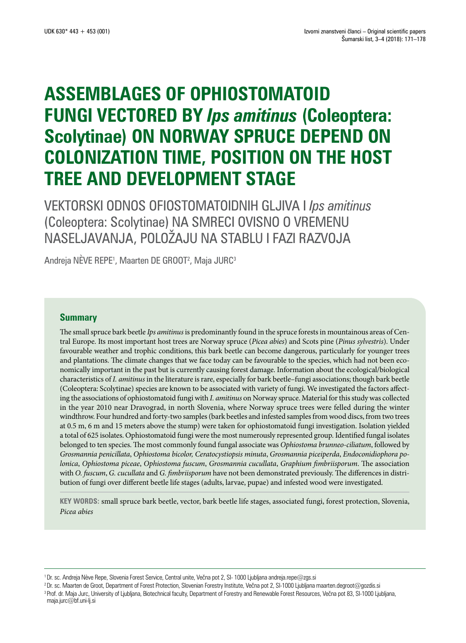# **ASSEMBLAGES OF OPHIOSTOMATOID FUNGI VECTORED BY** *Ips amitinus* **(Coleoptera: Scolytinae) ON NORWAY SPRUCE DEPEND ON COLONIZATION TIME, POSITION ON THE HOST TREE AND DEVELOPMENT STAGE**

VEKTORSKI ODNOS OFIOSTOMATOIDNIH GLJIVA I *Ips amitinus* (Coleoptera: Scolytinae) NA SMRECI OVISNO O VREMENU NASELJAVANJA, POLOŽAJU NA STABLU I FAZI RAZVOJA

Andreja NEVE REPE<sup>1</sup>, Maarten DE GROOT<sup>2</sup>, Maja JURC<sup>3</sup>

#### **Summary**

The small spruce bark beetle *Ips amitinus* is predominantly found in the spruce forests in mountainous areas of Central Europe. Its most important host trees are Norway spruce (*Picea abies*) and Scots pine (*Pinus sylvestris*). Under favourable weather and trophic conditions, this bark beetle can become dangerous, particularly for younger trees and plantations. The climate changes that we face today can be favourable to the species, which had not been economically important in the past but is currently causing forest damage. Information about the ecological/biological characteristics of *I. amitinus* in the literature is rare, especially for bark beetle–fungi associations; though bark beetle (Coleoptera: Scolytinae) species are known to be associated with variety of fungi. We investigated the factors affecting the associations of ophiostomatoid fungi with *I. amitinus* on Norway spruce. Material for this study was collected in the year 2010 near Dravograd, in north Slovenia, where Norway spruce trees were felled during the winter windthrow. Four hundred and forty-two samples (bark beetles and infested samples from wood discs, from two trees at 0.5 m, 6 m and 15 meters above the stump) were taken for ophiostomatoid fungi investigation. Isolation yielded a total of 625 isolates. Ophiostomatoid fungi were the most numerously represented group. Identified fungal isolates belonged to ten species. The most commonly found fungal associate was *Ophiostoma brunneo-ciliatum*, followed by *Grosmannia penicillata*, *Ophiostoma bicolor, Ceratocystiopsis minuta*, *Grosmannia piceiperda*, *Endoconidiophora polonica*, *Ophiostoma piceae*, *Ophiostoma fuscum*, *Grosmannia cucullata*, *Graphium fimbriisporum*. The association with *O. fuscum*, *G. cucullata* and *G. fimbriisporum* have not been demonstrated previously. The differences in distribution of fungi over different beetle life stages (adults, larvae, pupae) and infested wood were investigated.

**KEY WORDS:** small spruce bark beetle, vector, bark beetle life stages, associated fungi, forest protection, Slovenia, *Picea abies*

<sup>&</sup>lt;sup>1</sup> Dr. sc. Andreja Nève Repe, Slovenia Forest Service, Central unite, Večna pot 2, SI-1000 Ljubljana andreja.repe@zgs.si

<sup>&</sup>lt;sup>2</sup> Dr. sc. Maarten de Groot, Department of Forest Protection, Slovenian Forestry Institute, Večna pot 2, SI-1000 Ljubljana maarten.degroot@gozdis.si <sup>3</sup> Prof. dr. Maja Jurc, University of Ljubljana, Biotechnical faculty, Department of Forestry and Renewable Forest Resources, Večna pot 83, SI-1000 Ljubljana, maja.jurc@bf.uni-lj.si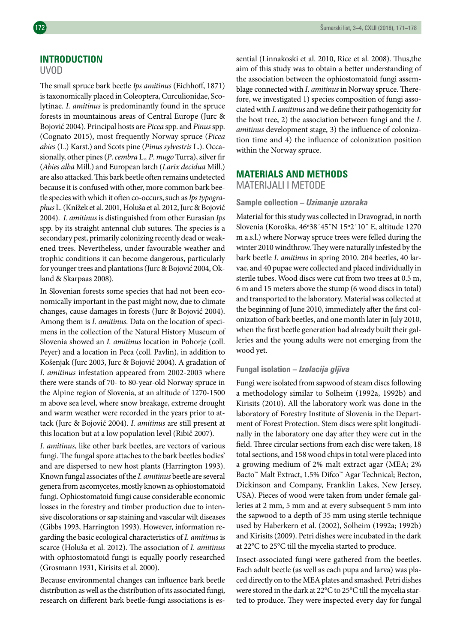## **INTRODUCTION**

#### UVOD

The small spruce bark beetle *Ips amitinus* (Eichhoff, 1871) is taxonomically placed in Coleoptera, Curculionidae, Scolytinae. *I. amitinus* is predominantly found in the spruce forests in mountainous areas of Central Europe (Jurc & Bojović 2004). Principal hosts are *Picea* spp. and *Pinus* spp. (Cognato 2015), most frequently Norway spruce (*Picea abies* (L.) Karst.) and Scots pine (*Pinus sylvestris* L.). Occasionally, other pines (*P*. *cembra* L.*, P*. *mugo* Turra), silver fir (*Abies alba* Mill.) and European larch (*Larix decidua* Mill.) are also attacked. This bark beetle often remains undetected because it is confused with other, more common bark beetle species with which it often co-occurs, such as *Ipstypographus* L. (Knížek et al. 2001, Holuša et al. 2012, Jurc & Bojović 2004). *I*. *amitinus* is distinguished from other Eurasian *Ips* spp. by its straight antennal club sutures. The species is a secondary pest, primarily colonizing recently dead or weakened trees. Nevertheless, under favourable weather and trophic conditions it can become dangerous, particularly for younger trees and plantations (Jurc & Bojović 2004, Okland & Skarpaas 2008).

In Slovenian forests some species that had not been economically important in the past might now, due to climate changes, cause damages in forests (Jurc & Bojović 2004). Among them is *I. amitinus*. Data on the location of specimens in the collection of the Natural History Museum of Slovenia showed an *I. amitinus* location in Pohorje (coll. Peyer) and a location in Peca (coll. Pavlin), in addition to Košenjak (Jurc 2003, Jurc & Bojović 2004). A gradation of *I*. *amitinus* infestation appeared from 2002-2003 where there were stands of 70- to 80-year-old Norway spruce in the Alpine region of Slovenia, at an altitude of 1270-1500 m above sea level, where snow breakage, extreme drought and warm weather were recorded in the years prior to attack (Jurc & Bojović 2004). *I*. *amitinus* are still present at this location but at a low population level (Ribič 2007).

*I. amitinus*, like other bark beetles, are vectors of various fungi. The fungal spore attaches to the bark beetles bodies' and are dispersed to new host plants (Harrington 1993). Known fungal associates of the *I. amitinus* beetle are several genera from ascomycetes, mostly known as ophiostomatoid fungi. Ophiostomatoid fungi cause considerable economic losses in the forestry and timber production due to intensive discolorations or sap staining and vascular wilt diseases (Gibbs 1993, Harrington 1993). However, information regarding the basic ecological characteristics of *I. amitinus* is scarce (Holuša et al. 2012). The association of *I. amitinus* with ophiostomatoid fungi is equally poorly researched (Grosmann 1931, Kirisits et al. 2000).

Because environmental changes can influence bark beetle distribution as well as the distribution of its associated fungi, research on different bark beetle-fungi associations is essential (Linnakoski et al. 2010, Rice et al. 2008). Thus,the aim of this study was to obtain a better understanding of the association between the ophiostomatoid fungi assemblage connected with *I. amitinus* in Norway spruce. Therefore, we investigated 1) species composition of fungi associated with *I. amitinus* and we define their pathogenicity for the host tree, 2) the association between fungi and the *I. amitinus* development stage, 3) the influence of colonization time and 4) the influence of colonization position within the Norway spruce.

## **MATERIALS AND METHODS**

MATERIJALI I METODE

#### **Sample collection –** *Uzimanje uzoraka*

Material for this study was collected in Dravograd, in north Slovenia (Koroška, 46º38´45˝N 15º2´10˝ E, altitude 1270 m a.s.l.) where Norway spruce trees were felled during the winter 2010 windthrow. They were naturally infested by the bark beetle *I*. *amitinus* in spring 2010. 204 beetles, 40 larvae, and 40 pupae were collected and placed individually in sterile tubes. Wood discs were cut from two trees at 0.5 m, 6 m and 15 meters above the stump (6 wood discs in total) and transported to the laboratory. Material was collected at the beginning of June 2010, immediately after the first colonization of bark beetles, and one month later in July 2010, when the first beetle generation had already built their galleries and the young adults were not emerging from the wood yet.

#### **Fungal isolation –** *Izolacija gljiva*

Fungi were isolated from sapwood of steam discs following a methodology similar to Solheim (1992a, 1992b) and Kirisits (2010). All the laboratory work was done in the laboratory of Forestry Institute of Slovenia in the Department of Forest Protection. Stem discs were split longitudinally in the laboratory one day after they were cut in the field. Three circular sections from each disc were taken, 18 total sections, and 158 wood chips in total were placed into a growing medium of 2% malt extract agar (MEA; 2% Bacto™ Malt Extract, 1.5% Difco™ Agar Technical; Becton, Dickinson and Company, Franklin Lakes, New Jersey, USA). Pieces of wood were taken from under female galleries at 2 mm, 5 mm and at every subsequent 5 mm into the sapwood to a depth of 35 mm using sterile technique used by Haberkern et al. (2002), Solheim (1992a; 1992b) and Kirisits (2009). Petri dishes were incubated in the dark at 22°C to 25°C till the mycelia started to produce.

Insect-associated fungi were gathered from the beetles. Each adult beetle (as well as each pupa and larva) was placed directly on to the MEA plates and smashed. Petri dishes were stored in the dark at 22°C to 25°C till the mycelia started to produce. They were inspected every day for fungal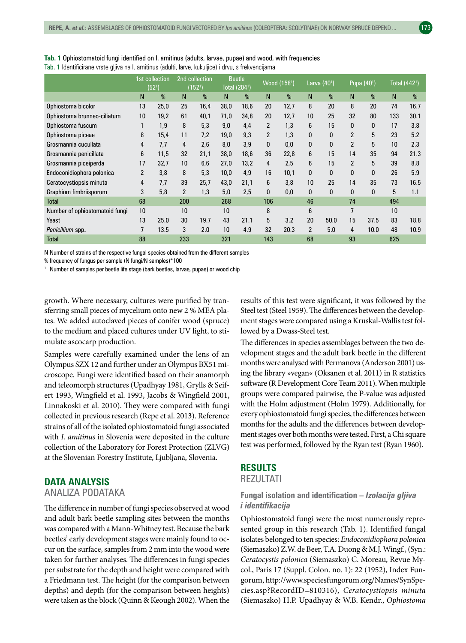|                                | 1st collection<br>$(52^{1})$ |      | 2nd collection<br>(152 <sup>1</sup> ) |      | <b>Beetle</b><br>Total (204 <sup>1</sup> ) |      | Wood (1581)    |      | Larva (40 <sup>1</sup> ) |      | Pupa (40 <sup>1</sup> ) |              | Total (442 <sup>1</sup> ) |      |
|--------------------------------|------------------------------|------|---------------------------------------|------|--------------------------------------------|------|----------------|------|--------------------------|------|-------------------------|--------------|---------------------------|------|
|                                | N                            | %    | N                                     | %    | N <sub>1</sub>                             | %    | N              | %    | N                        | %    | N                       | %            | N <sub>1</sub>            | %    |
| Ophiostoma bicolor             | 13                           | 25,0 | 25                                    | 16,4 | 38,0                                       | 18,6 | 20             | 12,7 | 8                        | 20   | 8                       | 20           | 74                        | 16.7 |
| Ophiostoma brunneo-ciliatum    | 10                           | 19,2 | 61                                    | 40,1 | 71,0                                       | 34,8 | 20             | 12,7 | 10                       | 25   | 32                      | 80           | 133                       | 30.1 |
| Ophiostoma fuscum              | $\mathbf{1}$                 | 1,9  | 8                                     | 5,3  | 9,0                                        | 4,4  | $\overline{2}$ | 1,3  | 6                        | 15   | 0                       | 0            | 17                        | 3.8  |
| Ophiostoma piceae              | 8                            | 15,4 | 11                                    | 7,2  | 19,0                                       | 9,3  | $\overline{2}$ | 1,3  | 0                        | 0    | $\overline{2}$          | 5            | 23                        | 5.2  |
| Grosmannia cucullata           | 4                            | 7,7  | 4                                     | 2,6  | 8,0                                        | 3,9  | 0              | 0,0  | $\bf{0}$                 | 0    | $\overline{2}$          | 5            | 10                        | 2.3  |
| Grosmannia penicillata         | 6                            | 11,5 | 32                                    | 21,1 | 38,0                                       | 18,6 | 36             | 22,8 | 6                        | 15   | 14                      | 35           | 94                        | 21.3 |
| Grosmannia piceiperda          | 17                           | 32,7 | 10                                    | 6,6  | 27,0                                       | 13,2 | 4              | 2,5  | 6                        | 15   | 2                       | 5            | 39                        | 8.8  |
| Endoconidiophora polonica      | $\overline{c}$               | 3,8  | 8                                     | 5,3  | 10,0                                       | 4,9  | 16             | 10,1 | $\bf{0}$                 | 0    | 0                       | $\mathbf{0}$ | 26                        | 5.9  |
| Ceratocystiopsis minuta        | 4                            | 7,7  | 39                                    | 25,7 | 43,0                                       | 21,1 | 6              | 3,8  | 10                       | 25   | 14                      | 35           | 73                        | 16.5 |
| Graphium fimbriisporum         | 3                            | 5,8  | $\overline{2}$                        | 1,3  | 5,0                                        | 2,5  | 0              | 0,0  | 0                        | 0    | $\Omega$                | $\Omega$     | 5                         | 1.1  |
| Total                          | 68                           |      | 200                                   |      | 268                                        |      | 106            |      | 46                       |      | 74                      |              | 494                       |      |
| Number of ophiostomatoid fungi | 10                           |      | 10                                    |      | 10                                         |      | 8              |      | 6                        |      | 7                       |              | 10                        |      |
| Yeast                          | 13                           | 25.0 | 30                                    | 19.7 | 43                                         | 21.1 | 5              | 3.2  | 20                       | 50.0 | 15                      | 37.5         | 83                        | 18.8 |
| Penicillium spp.               | 7                            | 13.5 | 3                                     | 2.0  | 10                                         | 4.9  | 32             | 20.3 | $\overline{2}$           | 5.0  | 4                       | 10.0         | 48                        | 10.9 |
| Total                          | 88                           |      | 233                                   |      | 321                                        |      | 143            |      | 68                       |      | 93                      |              | 625                       |      |

**Tab. 1** Ophiostomatoid fungi identified on I. amitinus (adults, larvae, pupae) and wood, with frequencies Tab. 1 Identificirane vrste gljiva na I. amitinus (adulti, larve, kukuljice) i drvu, s frekvencijama

N Number of strains of the respective fungal species obtained from the different samples

% frequency of fungus per sample (N fungi/N samples)\*100

<sup>1</sup> Number of samples per beetle life stage (bark beetles, larvae, pupae) or wood chip

growth. Where necessary, cultures were purified by transferring small pieces of mycelium onto new 2 % MEA plates. We added autoclaved pieces of conifer wood (spruce) to the medium and placed cultures under UV light, to stimulate ascocarp production.

Samples were carefully examined under the lens of an Olympus SZX 12 and further under an Olympus BX51 microscope. Fungi were identified based on their anamorph and teleomorph structures (Upadhyay 1981, Grylls & Seifert 1993, Wingfield et al. 1993, Jacobs & Wingfield 2001, Linnakoski et al. 2010). They were compared with fungi collected in previous research (Repe et al. 2013). Reference strains of all of the isolated ophiostomatoid fungi associated with *I. amitinus* in Slovenia were deposited in the culture collection of the Laboratory for Forest Protection (ZLVG) at the Slovenian Forestry Institute, Ljubljana, Slovenia.

### **DATA ANALYSIS**

## ANALIZA PODATAKA

The difference in number of fungi species observed at wood and adult bark beetle sampling sites between the months was compared with a Mann-Whitney test. Because the bark beetles' early development stages were mainly found to occur on the surface, samples from 2 mm into the wood were taken for further analyses. The differences in fungi species per substrate for the depth and height were compared with a Friedmann test. The height (for the comparison between depths) and depth (for the comparison between heights) were taken as the block (Quinn & Keough 2002). When the results of this test were significant, it was followed by the Steel test (Steel 1959). The differences between the development stages were compared using a Kruskal-Wallis test followed by a Dwass-Steel test.

The differences in species assemblages between the two development stages and the adult bark beetle in the different months were analysed with Permanova (Anderson 2001) using the library »vegan« (Oksanen et al. 2011) in R statistics software (R Development Core Team 2011). When multiple groups were compared pairwise, the P-value was adjusted with the Holm adjustment (Holm 1979). Additionally, for every ophiostomatoid fungi species, the differences between months for the adults and the differences between development stages over both months were tested. First, a Chi square test was performed, followed by the Ryan test (Ryan 1960).

#### **RESULTS**

#### REZULTATI

### **Fungal isolation and identification –** *Izolacija gljiva i identifikacija*

Ophiostomatoid fungi were the most numerously represented group in this research (Tab. 1). Identified fungal isolates belonged to ten species: *Endoconidiophora polonica* (Siemaszko) Z.W. de Beer, T.A. Duong & M.J. Wingf., (Syn.: *Ceratocystis polonica* (Siemaszko) C. Moreau, Revue Mycol., Paris 17 (Suppl. Colon. no. 1): 22 (1952), Index Fungorum, http://www.speciesfungorum.org/Names/SynSpecies.asp?RecordID=810316), *Ceratocystiopsis minuta* (Siemaszko) H.P. Upadhyay & W.B. Kendr., *Ophiostoma*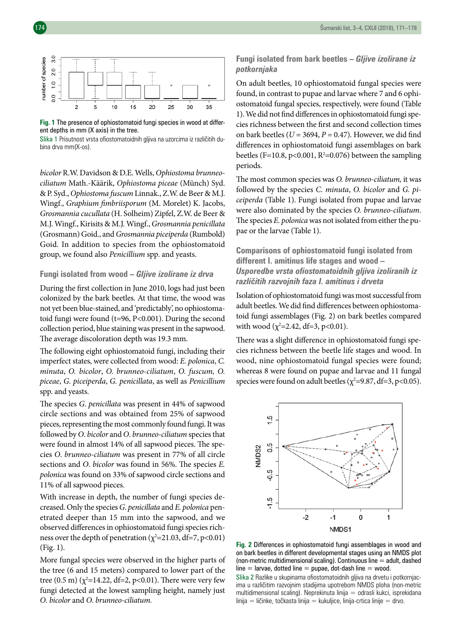

**Fig. 1** The presence of ophiostomatoid fungi species in wood at different depths in mm (X axis) in the tree.

Slika 1 Prisutnost vrsta ofiostomatoidnih gljiva na uzorcima iz različitih dubina drva mm(X-os).

*bicolor* R.W. Davidson & D.E. Wells, *Ophiostoma brunneociliatum* Math.-Käärik, *Ophiostoma piceae* (Münch) Syd. & P. Syd., *Ophiostoma fuscum* Linnak., Z.W. de Beer & M.J. Wingf., *Graphium fimbriisporum* (M. Morelet) K. Jacobs, *Grosmannia cucullata* (H. Solheim) Zipfel, Z.W. de Beer & M.J. Wingf., Kirisits & M.J. Wingf., *Grosmannia penicillata* (Grosmann) Goid., and *Grosmannia piceiperda* (Rumbold) Goid. In addition to species from the ophiostomatoid group, we found also *Penicillium* spp. and yeasts.

#### **Fungi isolated from wood –** *Gljive izolirane iz drva*

During the first collection in June 2010, logs had just been colonized by the bark beetles. At that time, the wood was not yet been blue-stained, and 'predictably', no ophiostomatoid fungi were found (t=96, P<0.001). During the second collection period, blue staining was present in the sapwood. The average discoloration depth was 19.3 mm.

The following eight ophiostomatoid fungi, including their imperfect states, were collected from wood: *E. polonica*, *C. minuta*, *O. bicolor*, *O. brunneo-ciliatum*, *O. fuscum, O. piceae*, *G. piceiperda*, *G. penicillata*, as well as *Penicillium* spp. and yeasts.

The species *G*. *penicillata* was present in 44% of sapwood circle sections and was obtained from 25% of sapwood pieces, representing the most commonly found fungi. It was followed by *O*. *bicolor* and *O*. *brunneo-ciliatum* species that were found in almost 14% of all sapwood pieces. The species *O*. *brunneo-ciliatum* was present in 77% of all circle sections and *O*. *bicolor* was found in 56%. The species *E. polonica* was found on 33% of sapwood circle sections and 11% of all sapwood pieces.

With increase in depth, the number of fungi species decreased. Only the species *G*. *penicillata* and *E. polonica* penetrated deeper than 15 mm into the sapwood, and we observed differences in ophiostomatoid fungi species richness over the depth of penetration ( $\chi^2$ =21.03, df=7, p<0.01) (Fig. 1).

More fungal species were observed in the higher parts of the tree (6 and 15 meters) compared to lower part of the tree  $(0.5 \text{ m})$   $(\chi^2=14.22, df=2, p<0.01)$ . There were very few fungi detected at the lowest sampling height, namely just *O*. *bicolor* and *O*. *brunneo-ciliatum.*

#### **Fungi isolated from bark beetles –** *Gljive izolirane iz potkornjaka*

On adult beetles, 10 ophiostomatoid fungal species were found, in contrast to pupae and larvae where 7 and 6 ophiostomatoid fungal species, respectively, were found (Table 1). We did not find differences in ophiostomatoid fungi species richness between the first and second collection times on bark beetles ( $U = 3694$ ,  $P = 0.47$ ). However, we did find differences in ophiostomatoid fungi assemblages on bark beetles (F=10.8, p<0.001, R<sup>2</sup>=0.076) between the sampling periods.

The most common species was *O. brunneo-ciliatum,* it was followed by the species *C. minuta*, *O. bicolor* and *G. piceiperda* (Table 1). Fungi isolated from pupae and larvae were also dominated by the species *O. brunneo-ciliatum*. The species *E. polonica* was not isolated from either the pupae or the larvae (Table 1).

**Comparisons of ophiostomatoid fungi isolated from different I. amitinus life stages and wood –**  *Usporedbe vrsta ofiostomatoidnih gljiva izoliranih iz različitih razvojnih faza I. amitinus i drveta*

Isolation of ophiostomatoid fungi was most successful from adult beetles. We did find differences between ophiostomatoid fungi assemblages (Fig. 2) on bark beetles compared with wood ( $\chi^2$ =2.42, df=3, p<0.01).

There was a slight difference in ophiostomatoid fungi species richness between the beetle life stages and wood. In wood, nine ophiostomatoid fungal species were found; whereas 8 were found on pupae and larvae and 11 fungal species were found on adult beetles ( $\chi^2$ =9.87, df=3, p<0.05).



**Fig. 2** Differences in ophiostomatoid fungi assemblages in wood and on bark beetles in different developmental stages using an NMDS plot (non-metric multidimensional scaling). Continuous line  $=$  adult, dashed line  $=$  larvae, dotted line  $=$  pupae, dot-dash line  $=$  wood.

Slika 2 Razlike u skupinama ofiostomatoidnih gljiva na drvetu i potkornjacima u različitim razvojnim stadijima upotrebom NMDS ploha (non-metric multidimensional scaling). Neprekinuta linija = odrasli kukci, isprekidana  $\lim_{\text{lin}} = \lim_{k \to \infty}$  točkasta linija = kukuljice, linija-crtica linije = drvo.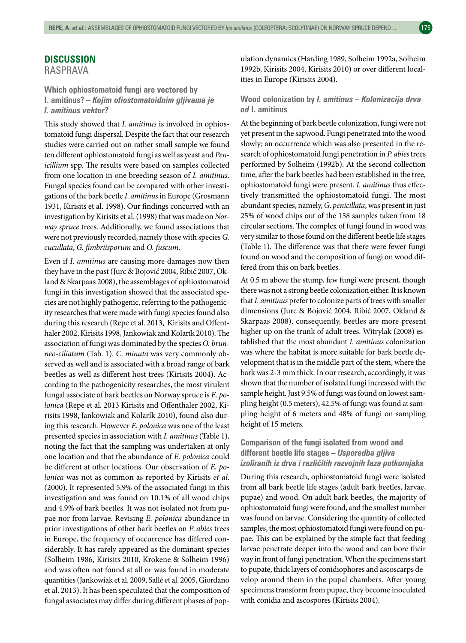RASPRAVA

**Which ophiostomatoid fungi are vectored by I. amitinus? –** *Kojim ofiostomatoidnim gljivama je I. amitinus vektor?*

This study showed that *I. amitinus* is involved in ophiostomatoid fungi dispersal. Despite the fact that our research studies were carried out on rather small sample we found ten different ophiostomatoid fungi as well as yeast and *Penicillium* spp. The results were based on samples collected from one location in one breeding season of *I. amitinus*. Fungal species found can be compared with other investigations of the bark beetle *I*. *amitinus* in Europe (Grosmann 1931, Kirisits et al. 1998). Our findings concurred with an investigation by Kirisits et al. (1998) that was made on *Norway spruce* trees. Additionally, we found associations that were not previously recorded, namely those with species *G. cucullata*, *G. fimbriisporum* and *O. fuscum*.

Even if *I. amitinus* are causing more damages now then they have in the past (Jurc & Bojović 2004, Ribič 2007, Okland & Skarpaas 2008), the assemblages of ophiostomatoid fungi in this investigation showed that the associated species are not highly pathogenic, referring to the pathogenicity researches that were made with fungi species found also during this research (Repe et al. 2013, Kirisits and Offenthaler 2002, Kirisits 1998, Jankowiak and Kolarík 2010). The association of fungi was dominated by the species *O. brunneo-ciliatum* (Tab. 1). *C*. *minuta* was very commonly observed as well and is associated with a broad range of bark beetles as well as different host trees (Kirisits 2004). According to the pathogenicity researches, the most virulent fungal associate of bark beetles on Norway spruce is *E. polonica* (Repe et al. 2013 Kirisits and Offenthaler 2002, Kirisits 1998, Jankowiak and Kolarík 2010), found also during this research. However *E. polonica* was one of the least presented species in association with *I. amitinus* (Table 1), noting the fact that the sampling was undertaken at only one location and that the abundance of *E. polonica* could be different at other locations. Our observation of *E. polonica* was not as common as reported by Kirisits *et al*. (2000). It represented 5.9% of the associated fungi in this investigation and was found on 10.1% of all wood chips and 4.9% of bark beetles. It was not isolated not from pupae nor from larvae. Revising *E. polonica* abundance in prior investigations of other bark beetles on *P. abies* trees in Europe, the frequency of occurrence has differed considerably. It has rarely appeared as the dominant species (Solheim 1986, Kirisits 2010, Krokene & Solheim 1996) and was often not found at all or was found in moderate quantities (Jankowiak et al. 2009, Sallé et al. 2005, Giordano et al. 2013). It has been speculated that the composition of fungal associates may differ during different phases of population dynamics (Harding 1989, Solheim 1992a, Solheim 1992b, Kirisits 2004, Kirisits 2010) or over different localities in Europe (Kirisits 2004).

#### **Wood colonization by** *I. amitinus – Kolonizacija drva od* **I. amitinus**

At the beginning of bark beetle colonization, fungi were not yet present in the sapwood. Fungi penetrated into the wood slowly; an occurrence which was also presented in the research of ophiostomatoid fungi penetration in *P. abies* trees performed by Solheim (1992b). At the second collection time, after the bark beetles had been established in the tree, ophiostomatoid fungi were present. *I. amitinus* thus effectively transmitted the ophiostomatoid fungi. The most abundant species, namely, *G*. *penicillata*, was present in just 25% of wood chips out of the 158 samples taken from 18 circular sections. The complex of fungi found in wood was very similar to those found on the different beetle life stages (Table 1). The difference was that there were fewer fungi found on wood and the composition of fungi on wood differed from this on bark beetles.

At 0.5 m above the stump, few fungi were present, though there was not a strong beetle colonization either. It is known that *I. amitinus* prefer to colonize parts of trees with smaller dimensions (Jurc & Bojović 2004, Ribič 2007, Okland & Skarpaas 2008), consequently, beetles are more present higher up on the trunk of adult trees. Witrylak (2008) established that the most abundant *I. amitinus* colonization was where the habitat is more suitable for bark beetle development that is in the middle part of the stem, where the bark was 2-3 mm thick. In our research, accordingly, it was shown that the number of isolated fungi increased with the sample height. Just 9.5% of fungi was found on lowest sampling height (0.5 meters), 42.5% of fungi was found at sampling height of 6 meters and 48% of fungi on sampling height of 15 meters.

## **Comparison of the fungi isolated from wood and different beetle life stages –** *Usporedba gljiva izoliranih iz drva i različitih razvojnih faza potkornjaka*

During this research, ophiostomatoid fungi were isolated from all bark beetle life stages (adult bark beetles, larvae, pupae) and wood. On adult bark beetles, the majority of ophiostomatoid fungi were found, and the smallest number was found on larvae. Considering the quantity of collected samples, the most ophiostomatoid fungi were found on pupae. This can be explained by the simple fact that feeding larvae penetrate deeper into the wood and can bore their way in front of fungi penetration. When the specimens start to pupate, thick layers of conidiophores and ascoscarps develop around them in the pupal chambers. After young specimens transform from pupae, they become inoculated with conidia and ascospores (Kirisits 2004).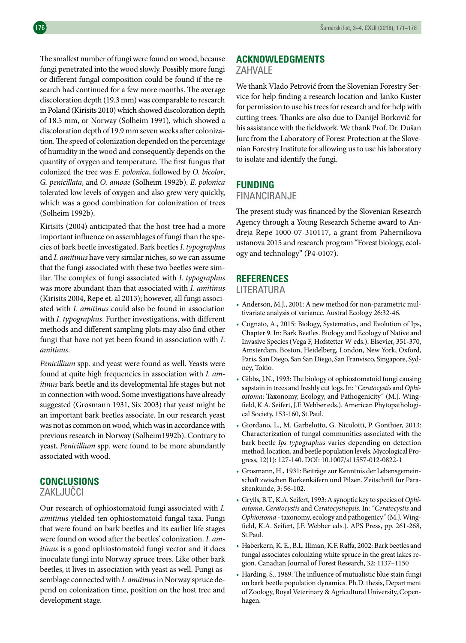The smallest number of fungi were found on wood, because fungi penetrated into the wood slowly. Possibly more fungi or different fungal composition could be found if the research had continued for a few more months. The average discoloration depth (19.3 mm) was comparable to research in Poland (Kirisits 2010) which showed discoloration depth of 18.5 mm, or Norway (Solheim 1991), which showed a discoloration depth of 19.9 mm seven weeks after colonization. The speed of colonization depended on the percentage of humidity in the wood and consequently depends on the quantity of oxygen and temperature. The first fungus that colonized the tree was *E. polonica*, followed by *O. bicolor*, *G. penicillata*, and *O. ainoae* (Solheim 1992b). *E. polonica* tolerated low levels of oxygen and also grew very quickly, which was a good combination for colonization of trees (Solheim 1992b).

Kirisits (2004) anticipated that the host tree had a more important influence on assemblages of fungi than the species of bark beetle investigated. Bark beetles *I. typographus* and *I. amitinus* have very similar niches, so we can assume that the fungi associated with these two beetles were similar. The complex of fungi associated with *I. typographus* was more abundant than that associated with *I*. *amitinus* (Kirisits 2004, Repe et. al 2013); however, all fungi associated with *I*. *amitinus* could also be found in association with *I*. *typographus*. Further investigations, with different methods and different sampling plots may also find other fungi that have not yet been found in association with *I*. *amitinus*.

*Penicillium* spp. and yeast were found as well. Yeasts were found at quite high frequencies in association with *I. amitinus* bark beetle and its developmental life stages but not in connection with wood. Some investigations have already suggested (Grosmann 1931, Six 2003) that yeast might be an important bark beetles associate. In our research yeast was not as common on wood, which was in accordance with previous research in Norway (Solheim1992b). Contrary to yeast, *Penicillium* spp. were found to be more abundantly associated with wood.

## **CONCLUSIONS**

## ZAKLJUČCI

Our research of ophiostomatoid fungi associated with *I. amitinus* yielded ten ophiostomatoid fungal taxa. Fungi that were found on bark beetles and its earlier life stages were found on wood after the beetles' colonization. *I. amitinus* is a good ophiostomatoid fungi vector and it does inoculate fungi into Norway spruce trees. Like other bark beetles, it lives in association with yeast as well. Fungi assemblage connected with *I. amitinus* in Norway spruce depend on colonization time, position on the host tree and development stage.

#### **ACKNOWLEDGMENTS**

#### ZAHVALE

We thank Vlado Petrovič from the Slovenian Forestry Service for help finding a research location and Janko Kuster for permission to use his trees for research and for help with cutting trees. Thanks are also due to Danijel Borkovič for his assistance with the fieldwork. We thank Prof. Dr. Dušan Jurc from the Laboratory of Forest Protection at the Slovenian Forestry Institute for allowing us to use his laboratory to isolate and identify the fungi.

## **FUNDING**

## FINANCIRANJE

The present study was financed by the Slovenian Research Agency through a Young Research Scheme award to Andreja Repe 1000-07-310117, a grant from Pahernikova ustanova 2015 and research program "Forest biology, ecology and technology" (P4-0107).

## **REFERENCES**

#### LITERATURA

- Anderson, M.J., 2001: A new method for non-parametric multivariate analysis of variance. Austral Ecology 26:32-46.
- Cognato, A., 2015: Biology, Systematics, and Evolution of Ips, Chapter 9. In: Bark Beetles. Biology and Ecology of Native and Invasive Species (Vega F, Hofstetter W eds.). Elsevier, 351-370, Amsterdam, Boston, Heidelberg, London, New York, Oxford, Paris, San Diego, San San Diego, San Franvisco, Singapore, Sydney, Tokio.
- Gibbs, J.N., 1993: The biology of ophiostomatoid fungi causing sapstain in trees and freshly cut logs. In: ˝*Ceratocystis* and *Ophiostoma*: Taxonomy, Ecology, and Pathogenicity˝ (M.J. Wingfield, K.A. Seifert, J.F. Webber eds.). American Phytopathological Society, 153-160, St.Paul.
- Giordano, L., M. Garbelotto, G. Nicolotti, P. Gonthier, 2013: Characterization of fungal communities associated with the bark beetle *Ips typographus* varies depending on detection method, location, and beetle population levels. Mycological Progress, 12(1): 127-140. DOI: 10.1007/s11557-012-0822-1
- Grosmann, H., 1931: Beiträge zur Kenntnis der Lebensgemeinschaft zwischen Borkenkäfern und Pilzen. Zeitschrift fur Parasitenkunde, 3: 56-102.
- Grylls, B.T., K.A. Seifert, 1993: A synoptic key to species of *Ophiostoma*, *Ceratocystis* and *Ceratocystiopsis*. In: ˝*Ceratocystis* and *Ophiostoma* - taxonomy, ecology and pathogenicy˝ (M.J. Wingfield, K.A. Seifert, J.F. Webber eds.). APS Press, pp. 261-268, St.Paul.
- Haberkern, K. E., B.L. Illman, K.F. Raffa, 2002: Bark beetles and fungal associates colonizing white spruce in the great lakes region. Canadian Journal of Forest Research, 32: 1137–1150
- Harding, S., 1989: The influence of mutualistic blue stain fungi on bark beetle population dynamics. Ph.D. thesis, Department of Zoology, Royal Veterinary & Agricultural University, Copenhagen.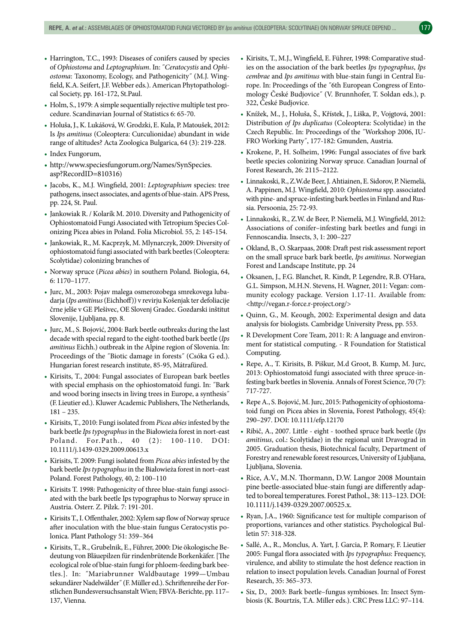- Harrington, T.C., 1993: Diseases of conifers caused by species of *Ophiostoma* and *Leptographium*. In: ˝*Ceratocystis* and *Ophiostoma*: Taxonomy, Ecology, and Pathogenicity˝ (M.J. Wingfield, K.A. Seifert, J.F. Webber eds.). American Phytopathological Society, pp. 161-172, St.Paul.
- Holm, S., 1979: A simple sequentially rejective multiple test procedure. Scandinavian Journal of Statistics 6: 65-70.
- Holuša, J., K. Lukášová, W. Grodzki, E. Kula, P. Matoušek, 2012: Is *Ips amitinus* (Coleoptera: Curculionidae) abundant in wide range of altitudes? Acta Zoologica Bulgarica, 64 (3): 219-228.
- Index Fungorum,
- http://www.speciesfungorum.org/Names/SynSpecies. asp?RecordID=810316)
- Jacobs, K., M.J. Wingfield, 2001: *Leptographium* species: tree pathogens, insect associates, and agents of blue-stain. APS Press, pp. 224, St. Paul.
- Jankowiak R. / Kolarík M. 2010. Diversity and Pathogenicity of Ophiostomatoid Fungi Associated with Tetropium Species Colonizing Picea abies in Poland. Folia Microbiol. 55, 2: 145-154.
- Jankowiak, R., M. Kacprzyk, M. Mlynarczyk, 2009: Diversity of ophiostomatoid fungi associated with bark beetles (Coleoptera: Scolytidae) colonizing branches of
- Norway spruce (*Picea abies*) in southern Poland. Biologia, 64, 6: 1170–1177.
- Jurc, M., 2003: Pojav malega osmerozobega smrekovega lubadarja (*Ips amitinus* (Eichhoff)) v revirju Košenjak ter defoliacije črne jelše v GE Plešivec, OE Slovenj Gradec. Gozdarski inštitut Slovenije, Ljubljana, pp. 8.
- Jurc, M., S. Bojović, 2004: Bark beetle outbreaks during the last decade with special regard to the eight-toothed bark beetle (*Ips amitinus* Eichh.) outbreak in the Alpine region of Slovenia. In: Proceedings of the ˝Biotic damage in forests˝ (Csóka G ed.). Hungarian forest research institute, 85-95, Mátrafüred.
- Kirisits, T., 2004: Fungal associates of European bark beetles with special emphasis on the ophiostomatoid fungi. In: ˝Bark and wood boring insects in living trees in Europe, a synthesis˝ (F. Lieutier ed.). Kluwer Academic Publishers, The Netherlands, 181 – 235.
- Kirisits, T., 2010: Fungi isolated from *Picea abies* infested by the bark beetle *Ips typographus* in the Białowieża forest in nort-east Poland. For. Path., 40 (2): 100-110. DOI: 10.1111/j.1439-0329.2009.00613.x
- Kirisits, T. 2009: Fungi isolated from *Picea abies* infested by the bark beetle *Ipstypographus* in the Białowieża forest in nort–east Poland. Forest Pathology, 40, 2: 100–110
- Kirisits T. 1998: Pathogenicity of three blue-stain fungi associated with the bark beetle Ips typographus to Norway spruce in Austria. Osterr. Z. Pilzk. 7: 191-201.
- Kirisits T., I. Offenthaler, 2002: Xylem sap flow of Norway spruce after inoculation with the blue-stain fungus Ceratocystis polonica. Plant Pathology 51: 359–364
- Kirisits, T., R., Grubelnik, E., Führer, 2000: Die ökologische Bedeutung von Bläuepilzen für rindenbrütende Borkenkäfer. [The ecological role of blue-stain fungi for phloem-feeding bark beetles.]. In: ˝Mariabrunner Waldbautage 1999—Umbau sekundärer Nadelwälder˝ (F. Müller ed.). Schriftenreihe der Forstlichen Bundesversuchsanstalt Wien; FBVA-Berichte, pp. 117– 137, Vienna.
- Kirisits, T., M.J., Wingfield, E. Führer, 1998: Comparative studies on the association of the bark beetles *Ips typographus*, *Ips cembrae* and *Ips amitinus* with blue-stain fungi in Central Europe. In: Proceedings of the ˝6th European Congress of Entomology České Budjovice˝ (V. Brunnhofer, T. Soldan eds.), p. 322, České Budjovice.
- Knížek, M., J., Holuša, Š., Křístek, J., Liška, P., Vojgtová, 2001: Distribution *of Ips duplicatus* (Coleoptera: Scolytidae) in the Czech Republic. In: Proceedings of the ˝Workshop 2006, IU-FRO Working Party˝, 177-182: Gmunden, Austria.
- Krokene, P., H. Solheim, 1996: Fungal associates of five bark beetle species colonizing Norway spruce. Canadian Journal of Forest Research, 26: 2115–2122.
- Linnakoski, R., Z.W.de Beer, J. Ahtiainen, E. Sidorov, P. Niemelä, A. Pappinen, M.J. Wingfield, 2010: *Ophiostoma* spp. associated with pine- and spruce-infesting bark beetles in Finland and Russia. Persoonia, 25: 72-93.
- Linnakoski, R., Z.W. de Beer, P. Niemelä, M.J. Wingfield, 2012: Associations of conifer–infesting bark beetles and fungi in Fennoscandia. Insects, 3, 1: 200–227
- Okland, B., O. Skarpaas, 2008: Draft pest risk assessment report on the small spruce bark bark beetle, *Ips amitinus*. Norwegian Forest and Landscape Institute, pp. 24
- Oksanen, J., F.G. Blanchet, R. Kindt, P. Legendre, R.B. O'Hara, G.L. Simpson, M.H.N. Stevens, H. Wagner, 2011: Vegan: community ecology package. Version 1.17-11. Available from: <http://vegan.r-force.r-project.org/>
- Quinn, G., M. Keough, 2002: Experimental design and data analysis for biologists. Cambridge University Press, pp. 553.
- R Development Core Team, 2011: R: A language and environment for statistical computing. - R Foundation for Statistical Computing.
- Repe, A., T. Kirisits, B. Piškur, M.d Groot, B. Kump, M. Jurc, 2013: Ophiostomatoid fungi associated with three spruce-infesting bark beetles in Slovenia. Annals of Forest Science, 70 (7): 717-727.
- Repe A., S. Bojović, M. Jurc, 2015: Pathogenicity of ophiostomatoid fungi on Picea abies in Slovenia, Forest Pathology, 45(4): 290–297. DOI: 10.1111/efp.12170
- Ribič, A., 2007. Little eight toothed spruce bark beetle (*Ips amitinus*, col.: Scolytidae) in the regional unit Dravograd in 2005. Graduation thesis, Biotechnical faculty, Department of Forestry and renewable forest resources, University of Ljubljana, Ljubljana, Slovenia.
- Rice, A.V., M.N. Thormann, D.W. Langor 2008 Mountain pine beetle-associated blue-stain fungi are differently adapted to boreal temperatures. Forest Pathol., 38: 113–123. DOI: 10.1111/j.1439-0329.2007.00525.x.
- Ryan, J.A., 1960: Significance test for multiple comparison of proportions, variances and other statistics. Psychological Bulletin 57: 318-328.
- Sallé, A., R., Monclus, A. Yart, J. Garcia, P. Romary, F. Lieutier 2005: Fungal flora associated with *Ips typographus*: Frequency, virulence, and ability to stimulate the host defence reaction in relation to insect population levels. Canadian Journal of Forest Research, 35: 365–373.
- Six, D., 2003: Bark beetle–fungus symbioses. In: Insect Symbiosis (K. Bourtzis, T.A. Miller eds.). CRC Press LLC: 97–114.